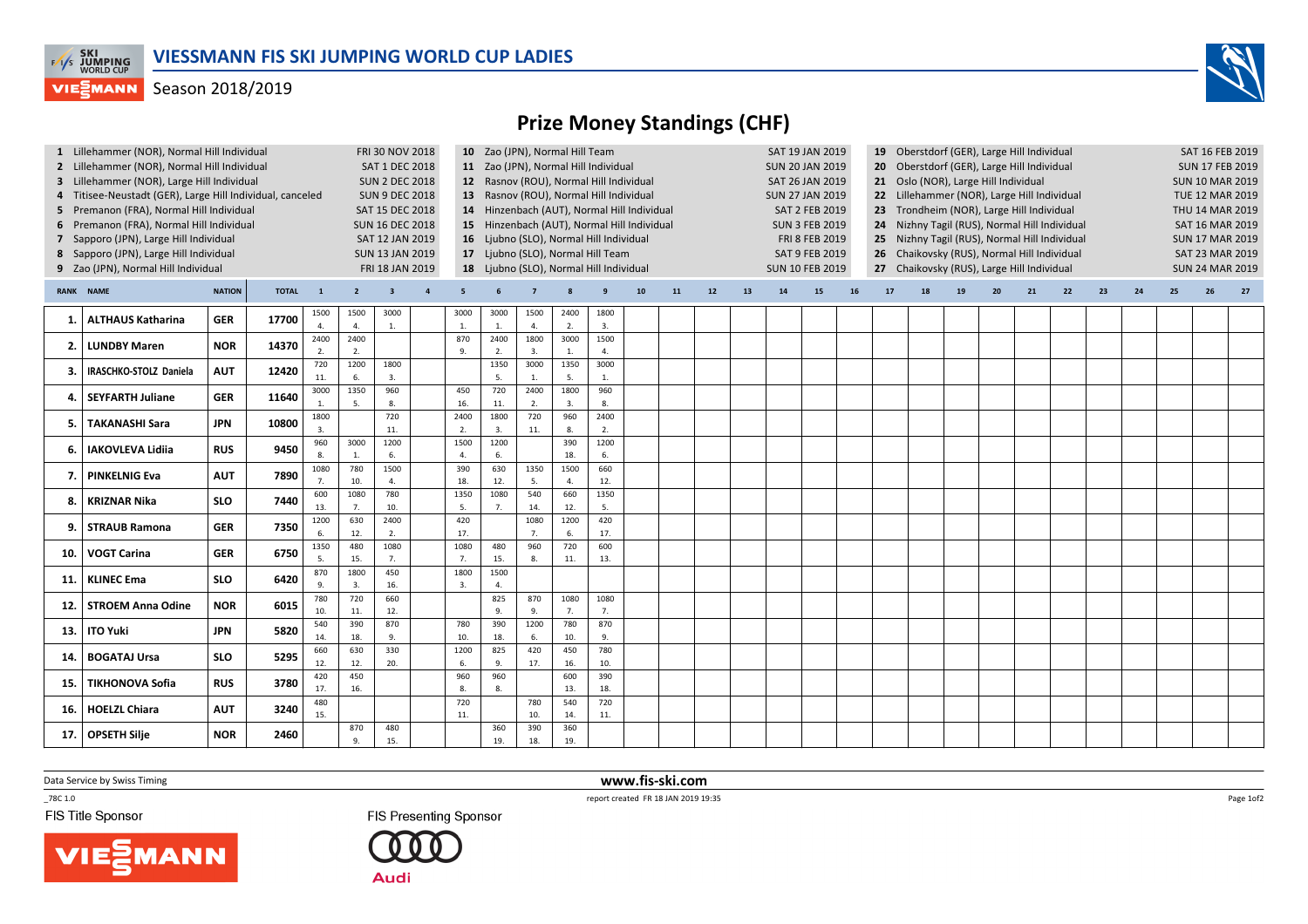

## **VIEGMANN** Season 2018/2019



| 1 Lillehammer (NOR), Normal Hill Individual<br>2 Lillehammer (NOR), Normal Hill Individual<br>3 Lillehammer (NOR), Large Hill Individual<br>Titisee-Neustadt (GER), Large Hill Individual, canceled<br>5 Premanon (FRA), Normal Hill Individual<br>6 Premanon (FRA), Normal Hill Individual<br>Sapporo (JPN), Large Hill Individual<br>$7\overline{ }$<br>Sapporo (JPN), Large Hill Individual<br>8<br>9 Zao (JPN), Normal Hill Individual |                               |            |       |                      |                         | <b>FRI 30 NOV 2018</b><br><b>SAT 1 DEC 2018</b><br><b>SUN 2 DEC 2018</b><br><b>SUN 9 DEC 2018</b><br>SAT 15 DEC 2018<br><b>SUN 16 DEC 2018</b><br>SAT 12 JAN 2019<br><b>SUN 13 JAN 2019</b><br>FRI 18 JAN 2019 |                        | 10 Zao (JPN), Normal Hill Team<br>11 Zao (JPN), Normal Hill Individual<br>12 Rasnov (ROU), Normal Hill Individual<br>13 Rasnov (ROU), Normal Hill Individual<br>14 Hinzenbach (AUT), Normal Hill Individual<br>15 Hinzenbach (AUT), Normal Hill Individual<br>16 Ljubno (SLO), Normal Hill Individual<br>17 Ljubno (SLO), Normal Hill Team<br>18 Ljubno (SLO), Normal Hill Individual |            |                        |                      |    |    |    |    | <b>SUN 20 JAN 2019</b><br><b>SUN 27 JAN 2019</b><br><b>SUN 10 FEB 2019</b> | SAT 19 JAN 2019<br>SAT 26 JAN 2019<br><b>SAT 2 FEB 2019</b><br><b>SUN 3 FEB 2019</b><br><b>FRI 8 FEB 2019</b><br><b>SAT 9 FEB 2019</b> |    | 27 Chaikovsky (RUS), Large Hill Individual | 19 Oberstdorf (GER), Large Hill Individual<br>20 Oberstdorf (GER), Large Hill Individual<br>21 Oslo (NOR), Large Hill Individual<br>22 Lillehammer (NOR), Large Hill Individual<br>23 Trondheim (NOR), Large Hill Individual<br>24 Nizhny Tagil (RUS), Normal Hill Individual<br>25 Nizhny Tagil (RUS), Normal Hill Individual<br>26 Chaikovsky (RUS), Normal Hill Individual |    | <b>SAT 16 FEB 2019</b><br><b>SUN 17 FEB 2019</b><br><b>SUN 10 MAR 2019</b><br>TUE 12 MAR 2019<br>THU 14 MAR 2019<br>SAT 16 MAR 2019<br><b>SUN 17 MAR 2019</b><br><b>SAT 23 MAR 2019</b><br><b>SUN 24 MAR 2019</b> |    |    |    |    |    |    |  |
|--------------------------------------------------------------------------------------------------------------------------------------------------------------------------------------------------------------------------------------------------------------------------------------------------------------------------------------------------------------------------------------------------------------------------------------------|-------------------------------|------------|-------|----------------------|-------------------------|----------------------------------------------------------------------------------------------------------------------------------------------------------------------------------------------------------------|------------------------|---------------------------------------------------------------------------------------------------------------------------------------------------------------------------------------------------------------------------------------------------------------------------------------------------------------------------------------------------------------------------------------|------------|------------------------|----------------------|----|----|----|----|----------------------------------------------------------------------------|----------------------------------------------------------------------------------------------------------------------------------------|----|--------------------------------------------|-------------------------------------------------------------------------------------------------------------------------------------------------------------------------------------------------------------------------------------------------------------------------------------------------------------------------------------------------------------------------------|----|-------------------------------------------------------------------------------------------------------------------------------------------------------------------------------------------------------------------|----|----|----|----|----|----|--|
| <b>NATION</b><br><b>RANK NAME</b><br><b>TOTAL</b><br>$\mathbf{1}$                                                                                                                                                                                                                                                                                                                                                                          |                               |            |       | $\overline{2}$       | $\overline{\mathbf{3}}$ |                                                                                                                                                                                                                |                        |                                                                                                                                                                                                                                                                                                                                                                                       |            |                        | 10                   | 11 | 12 | 13 | 14 | 15                                                                         | 16                                                                                                                                     | 17 | 18                                         | 19                                                                                                                                                                                                                                                                                                                                                                            | 20 | 21                                                                                                                                                                                                                | 22 | 23 | 24 | 25 | 26 | 27 |  |
| 1.                                                                                                                                                                                                                                                                                                                                                                                                                                         | <b>ALTHAUS Katharina</b>      | <b>GER</b> | 17700 | 1500                 | 1500<br>4.              | 3000<br>$\overline{1}$                                                                                                                                                                                         | 3000<br>$\mathbf{1}$   | 3000<br>1.                                                                                                                                                                                                                                                                                                                                                                            | 1500<br>4. | 2400<br>2.             | 1800<br>3.           |    |    |    |    |                                                                            |                                                                                                                                        |    |                                            |                                                                                                                                                                                                                                                                                                                                                                               |    |                                                                                                                                                                                                                   |    |    |    |    |    |    |  |
| 2.                                                                                                                                                                                                                                                                                                                                                                                                                                         | <b>LUNDBY Maren</b>           | <b>NOR</b> | 14370 | 2400<br>2.           | 2400<br>2.              |                                                                                                                                                                                                                | 870<br>9               | 2400<br>2.                                                                                                                                                                                                                                                                                                                                                                            | 1800<br>3. | 3000<br>$\overline{1}$ | 1500<br>$\mathbf{A}$ |    |    |    |    |                                                                            |                                                                                                                                        |    |                                            |                                                                                                                                                                                                                                                                                                                                                                               |    |                                                                                                                                                                                                                   |    |    |    |    |    |    |  |
|                                                                                                                                                                                                                                                                                                                                                                                                                                            | <b>IRASCHKO-STOLZ Daniela</b> | <b>AUT</b> | 12420 | 720<br>11.           | 1200<br>6.              | 1800<br>3.                                                                                                                                                                                                     |                        | 1350<br>5.                                                                                                                                                                                                                                                                                                                                                                            | 3000<br>1. | 1350<br>5.             | 3000<br>$\mathbf{1}$ |    |    |    |    |                                                                            |                                                                                                                                        |    |                                            |                                                                                                                                                                                                                                                                                                                                                                               |    |                                                                                                                                                                                                                   |    |    |    |    |    |    |  |
|                                                                                                                                                                                                                                                                                                                                                                                                                                            | <b>SEYFARTH Juliane</b>       | <b>GER</b> | 11640 | 3000                 | 1350<br>5.              | 960<br>8.                                                                                                                                                                                                      | 450<br>16.             | 720<br>11.                                                                                                                                                                                                                                                                                                                                                                            | 2400<br>2. | 1800<br>3.             | 960<br>8.            |    |    |    |    |                                                                            |                                                                                                                                        |    |                                            |                                                                                                                                                                                                                                                                                                                                                                               |    |                                                                                                                                                                                                                   |    |    |    |    |    |    |  |
| 5.                                                                                                                                                                                                                                                                                                                                                                                                                                         | <b>TAKANASHI Sara</b>         | JPN        | 10800 | 1800<br>$\mathbf{3}$ |                         | 720<br>11.                                                                                                                                                                                                     | 2400<br>$\overline{2}$ | 1800<br>3.                                                                                                                                                                                                                                                                                                                                                                            | 720<br>11. | 960<br>-8.             | 2400<br>2.           |    |    |    |    |                                                                            |                                                                                                                                        |    |                                            |                                                                                                                                                                                                                                                                                                                                                                               |    |                                                                                                                                                                                                                   |    |    |    |    |    |    |  |
| 6                                                                                                                                                                                                                                                                                                                                                                                                                                          | <b>IAKOVLEVA Lidiia</b>       | <b>RUS</b> | 9450  | 960                  | 3000<br>1.              | 1200<br>6.                                                                                                                                                                                                     | 1500<br>$\Delta$       | 1200<br>6.                                                                                                                                                                                                                                                                                                                                                                            |            | 390<br>18.             | 1200<br>6.           |    |    |    |    |                                                                            |                                                                                                                                        |    |                                            |                                                                                                                                                                                                                                                                                                                                                                               |    |                                                                                                                                                                                                                   |    |    |    |    |    |    |  |
|                                                                                                                                                                                                                                                                                                                                                                                                                                            | <b>PINKELNIG Eva</b>          | <b>AUT</b> | 7890  | 1080<br>7.           | 780<br>10.              | 1500<br>4.                                                                                                                                                                                                     | 390<br>18.             | 630<br>12.                                                                                                                                                                                                                                                                                                                                                                            | 1350<br>5. | 1500<br>4.             | 660<br>12.           |    |    |    |    |                                                                            |                                                                                                                                        |    |                                            |                                                                                                                                                                                                                                                                                                                                                                               |    |                                                                                                                                                                                                                   |    |    |    |    |    |    |  |
|                                                                                                                                                                                                                                                                                                                                                                                                                                            | <b>KRIZNAR Nika</b>           | <b>SLO</b> | 7440  | 600<br>13.           | 1080<br>7.              | 780<br>10.                                                                                                                                                                                                     | 1350<br>5.             | 1080<br>7 <sub>1</sub>                                                                                                                                                                                                                                                                                                                                                                | 540<br>14. | 660<br>12.             | 1350<br>5.           |    |    |    |    |                                                                            |                                                                                                                                        |    |                                            |                                                                                                                                                                                                                                                                                                                                                                               |    |                                                                                                                                                                                                                   |    |    |    |    |    |    |  |
| 9.                                                                                                                                                                                                                                                                                                                                                                                                                                         | <b>STRAUB Ramona</b>          | <b>GER</b> | 7350  | 1200                 | 630<br>12.              | 2400<br>2.                                                                                                                                                                                                     | 420<br>17.             |                                                                                                                                                                                                                                                                                                                                                                                       | 1080<br>7. | 1200<br>6.             | 420<br>17.           |    |    |    |    |                                                                            |                                                                                                                                        |    |                                            |                                                                                                                                                                                                                                                                                                                                                                               |    |                                                                                                                                                                                                                   |    |    |    |    |    |    |  |
| 10.                                                                                                                                                                                                                                                                                                                                                                                                                                        | <b>VOGT Carina</b>            | <b>GER</b> | 6750  | 1350                 | 480<br>15.              | 1080<br>7.                                                                                                                                                                                                     | 1080<br>$\overline{7}$ | 480<br>15.                                                                                                                                                                                                                                                                                                                                                                            | 960<br>8.  | 720<br>11.             | 600<br>13.           |    |    |    |    |                                                                            |                                                                                                                                        |    |                                            |                                                                                                                                                                                                                                                                                                                                                                               |    |                                                                                                                                                                                                                   |    |    |    |    |    |    |  |
| 11.                                                                                                                                                                                                                                                                                                                                                                                                                                        | <b>KLINEC Ema</b>             | <b>SLO</b> | 6420  | 870                  | 1800<br>3.              | 450<br>16.                                                                                                                                                                                                     | 1800<br>$\overline{3}$ | 1500                                                                                                                                                                                                                                                                                                                                                                                  |            |                        |                      |    |    |    |    |                                                                            |                                                                                                                                        |    |                                            |                                                                                                                                                                                                                                                                                                                                                                               |    |                                                                                                                                                                                                                   |    |    |    |    |    |    |  |
| 12.                                                                                                                                                                                                                                                                                                                                                                                                                                        | <b>STROEM Anna Odine</b>      | <b>NOR</b> | 6015  | 780<br>10.           | 720<br>11.              | 660<br>12.                                                                                                                                                                                                     |                        | 825<br>9.                                                                                                                                                                                                                                                                                                                                                                             | 870<br>9.  | 1080<br>7.             | 1080<br>7.           |    |    |    |    |                                                                            |                                                                                                                                        |    |                                            |                                                                                                                                                                                                                                                                                                                                                                               |    |                                                                                                                                                                                                                   |    |    |    |    |    |    |  |
| 13.                                                                                                                                                                                                                                                                                                                                                                                                                                        | <b>ITO Yuki</b>               | <b>JPN</b> | 5820  | 540<br>14.           | 390<br>18.              | 870<br>9.                                                                                                                                                                                                      | 780<br>10.             | 390<br>18.                                                                                                                                                                                                                                                                                                                                                                            | 1200<br>6. | 780<br>10.             | 870<br>9.            |    |    |    |    |                                                                            |                                                                                                                                        |    |                                            |                                                                                                                                                                                                                                                                                                                                                                               |    |                                                                                                                                                                                                                   |    |    |    |    |    |    |  |
| -14.                                                                                                                                                                                                                                                                                                                                                                                                                                       | <b>BOGATAJ Ursa</b>           | <b>SLO</b> | 5295  | 660<br>12.           | 630<br>12.              | 330<br>20.                                                                                                                                                                                                     | 1200<br>6.             | 825<br>9.                                                                                                                                                                                                                                                                                                                                                                             | 420<br>17. | 450<br>16.             | 780<br>10.           |    |    |    |    |                                                                            |                                                                                                                                        |    |                                            |                                                                                                                                                                                                                                                                                                                                                                               |    |                                                                                                                                                                                                                   |    |    |    |    |    |    |  |
| 15.                                                                                                                                                                                                                                                                                                                                                                                                                                        | <b>TIKHONOVA Sofia</b>        | <b>RUS</b> | 3780  | 420<br>17.           | 450<br>16.              |                                                                                                                                                                                                                | 960<br>8.              | 960<br>8.                                                                                                                                                                                                                                                                                                                                                                             |            | 600<br>13.             | 390<br>18.           |    |    |    |    |                                                                            |                                                                                                                                        |    |                                            |                                                                                                                                                                                                                                                                                                                                                                               |    |                                                                                                                                                                                                                   |    |    |    |    |    |    |  |
| 16.                                                                                                                                                                                                                                                                                                                                                                                                                                        | <b>HOELZL Chiara</b>          | <b>AUT</b> | 3240  | 480<br>15.           |                         |                                                                                                                                                                                                                | 720<br>11.             |                                                                                                                                                                                                                                                                                                                                                                                       | 780<br>10. | 540<br>14.             | 720<br>11.           |    |    |    |    |                                                                            |                                                                                                                                        |    |                                            |                                                                                                                                                                                                                                                                                                                                                                               |    |                                                                                                                                                                                                                   |    |    |    |    |    |    |  |
| 17.                                                                                                                                                                                                                                                                                                                                                                                                                                        | <b>OPSETH Silie</b>           | <b>NOR</b> | 2460  |                      | 870<br>9.               | 480<br>15.                                                                                                                                                                                                     |                        | 360<br>19.                                                                                                                                                                                                                                                                                                                                                                            | 390<br>18. | 360<br>19.             |                      |    |    |    |    |                                                                            |                                                                                                                                        |    |                                            |                                                                                                                                                                                                                                                                                                                                                                               |    |                                                                                                                                                                                                                   |    |    |    |    |    |    |  |
|                                                                                                                                                                                                                                                                                                                                                                                                                                            |                               |            |       |                      |                         |                                                                                                                                                                                                                |                        |                                                                                                                                                                                                                                                                                                                                                                                       |            |                        |                      |    |    |    |    |                                                                            |                                                                                                                                        |    |                                            |                                                                                                                                                                                                                                                                                                                                                                               |    |                                                                                                                                                                                                                   |    |    |    |    |    |    |  |

Data Service by Swiss Timing

 $-78C 1.0$ 

FIS Title Sponsor





 www.fis-ski.comreport created FR 18 JAN 2019 19:35

Page 1of2